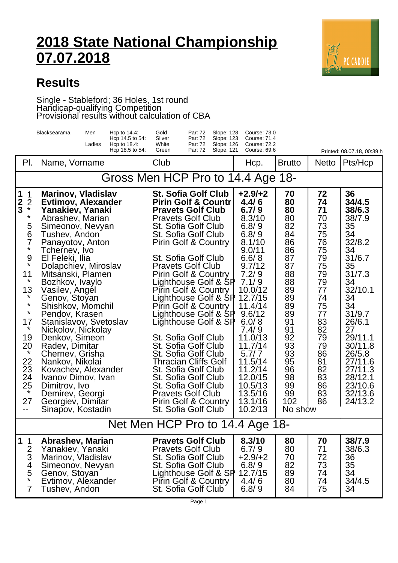## **2018 State National Championship 07.07.2018**



## **Results**

## Single - Stableford; 36 Holes, 1st round Handicap-qualifying Competition Provisional results without calculation of CBA

|                                                                                                                                                                                                                                                          | Blacksearama                                                                                                                                                                                                                                                                                                                                                                                                                                                                                                                                                                               | Men<br>Ladies | Hcp to $14.4$ :<br>Hcp 14.5 to 54:<br>Hcp to $18.4$ :<br>Hcp 18.5 to 54: | Gold<br>Silver<br>White<br>Green                                                                                                                                                                                                                                                                                                                                                                                                                                                                                                                                                                                                                                                                           | Par: 72<br>Par: 72<br>Par: 72<br>Par: 72 | Slope: 128<br>Slope: 123<br>Slope: 126<br>Slope: 121 | Course: 73.0<br>Course: 71.4<br><b>Course: 72.2</b><br>Course: 69.6                                                                                                                                                                                                                       |                                                                                                                                                                            |                                                                                                                                                                | Printed: 08.07.18, 00:39 h                                                                                                                                                                                                                      |
|----------------------------------------------------------------------------------------------------------------------------------------------------------------------------------------------------------------------------------------------------------|--------------------------------------------------------------------------------------------------------------------------------------------------------------------------------------------------------------------------------------------------------------------------------------------------------------------------------------------------------------------------------------------------------------------------------------------------------------------------------------------------------------------------------------------------------------------------------------------|---------------|--------------------------------------------------------------------------|------------------------------------------------------------------------------------------------------------------------------------------------------------------------------------------------------------------------------------------------------------------------------------------------------------------------------------------------------------------------------------------------------------------------------------------------------------------------------------------------------------------------------------------------------------------------------------------------------------------------------------------------------------------------------------------------------------|------------------------------------------|------------------------------------------------------|-------------------------------------------------------------------------------------------------------------------------------------------------------------------------------------------------------------------------------------------------------------------------------------------|----------------------------------------------------------------------------------------------------------------------------------------------------------------------------|----------------------------------------------------------------------------------------------------------------------------------------------------------------|-------------------------------------------------------------------------------------------------------------------------------------------------------------------------------------------------------------------------------------------------|
| PI.                                                                                                                                                                                                                                                      | Name, Vorname                                                                                                                                                                                                                                                                                                                                                                                                                                                                                                                                                                              |               |                                                                          | Club                                                                                                                                                                                                                                                                                                                                                                                                                                                                                                                                                                                                                                                                                                       |                                          |                                                      | Hcp.                                                                                                                                                                                                                                                                                      | <b>Brutto</b>                                                                                                                                                              | <b>Netto</b>                                                                                                                                                   | Pts/Hcp                                                                                                                                                                                                                                         |
|                                                                                                                                                                                                                                                          | Gross Men HCP Pro to 14.4 Age 18-                                                                                                                                                                                                                                                                                                                                                                                                                                                                                                                                                          |               |                                                                          |                                                                                                                                                                                                                                                                                                                                                                                                                                                                                                                                                                                                                                                                                                            |                                          |                                                      |                                                                                                                                                                                                                                                                                           |                                                                                                                                                                            |                                                                                                                                                                |                                                                                                                                                                                                                                                 |
| 1<br>1<br>$\frac{2}{3}$<br>$\overline{2}$<br>$\star$<br>$\star$<br>5<br>6<br>7<br>$\star$<br>9<br>$\star$<br>11<br>$\star$<br>13<br>$\star$<br>$\star$<br>$\star$<br>17<br>$\star$<br>19<br>20<br>$\star$<br>22<br>23<br>24<br>25<br>$\star$<br>27<br>-- | <b>Marinov, Vladislav</b><br><b>Evtimov, Alexander</b><br>Yanakiev, Yanaki<br>Abrashev, Marian<br>Simeonov, Nevyan<br>Tushev, Andon<br>Panayotov, Anton<br>Tchernev, Ivo<br>El Feleki, Ilia<br>Dolapchiev, Miroslav<br>Mitsanski, Plamen<br>Bozhkov, Ivaylo<br>Vasilev, Angel<br>Genov, Stoyan<br>Shishkov, Momchil<br>Pendov, Krasen<br>Stanislavov, Svetoslav<br>Nickolov, Nickolay<br>Denkov, Simeon<br>Radev, Dimitar<br>Chernev, Grisha<br>Nankov, Nikolai<br>Kovachev, Alexander<br>Ivanov Dimov, Ivan<br>Dimitrov, Ivo<br>Demirev, Georgi<br>Georgiev, Dimitar<br>Sinapov, Kostadin |               |                                                                          | <b>St. Sofia Golf Club</b><br><b>Pirin Golf &amp; Countr</b><br><b>Pravets Golf Club</b><br><b>Pravets Golf Club</b><br>St. Sofia Golf Club<br>St. Sofia Golf Club<br><b>Pirin Golf &amp; Country</b><br>St. Sofia Golf Club<br><b>Pravets Golf Club</b><br><b>Pirin Golf &amp; Country</b><br>Lighthouse Golf & SP<br>Pirin Golf & Country<br>Lighthouse Golf & SP<br>Pirin Golf & Country<br>Lighthouse Golf & SP<br>Lighthouse Golf & SP<br>St. Sofia Golf Club<br>St. Sofia Golf Club<br>St. Sofia Golf Club<br><b>Thracian Cliffs Golf</b><br>St. Sofia Golf Club<br>St. Sofia Golf Club<br>St. Sofia Golf Club<br><b>Pravets Golf Club</b><br><b>Pirin Golf &amp; Country</b><br>St. Sofia Golf Club |                                          |                                                      | $+2.9/+2$<br>4.4/6<br>6.7/9<br>8.3/10<br>6.8/9<br>6.8/9<br>8.1/10<br>9.0/11<br>6.6/8<br>9.7/12<br>7.2/9<br>7.1/9<br>10.0/12<br>12.7/15<br>11.4/14<br>9.6/12<br>6.0/8<br>7.4/9<br>11.0/13<br>11.7/14<br>5.7/7<br>11.5/14<br>11.2/14<br>12.0/15<br>10.5/13<br>13.5/16<br>13.1/16<br>10.2/13 | 70<br>80<br>80<br>80<br>82<br>84<br>86<br>86<br>87<br>87<br>88<br>88<br>89<br>89<br>89<br>89<br>91<br>91<br>92<br>93<br>93<br>95<br>96<br>98<br>99<br>99<br>102<br>No show | 72<br>74<br>71<br>70<br>73<br>75<br>76<br>75<br>79<br>75<br>79<br>79<br>77<br>74<br>75<br>77<br>83<br>82<br>79<br>79<br>86<br>81<br>82<br>83<br>86<br>83<br>86 | 36<br>34/4.5<br>38/6.3<br>38/7.9<br>35<br>34<br>32/8.2<br>34<br>31/6.7<br>35<br>31/7.3<br>34<br>32/10.1<br>34<br>34<br>31/9.7<br>26/6.1<br>27<br>29/11.1<br>30/11.8<br>26/5.8<br>27/11.6<br>27/11.3<br>28/12.1<br>23/10.6<br>32/13.6<br>24/13.2 |
| Net Men HCP Pro to 14.4 Age 18-                                                                                                                                                                                                                          |                                                                                                                                                                                                                                                                                                                                                                                                                                                                                                                                                                                            |               |                                                                          |                                                                                                                                                                                                                                                                                                                                                                                                                                                                                                                                                                                                                                                                                                            |                                          |                                                      |                                                                                                                                                                                                                                                                                           |                                                                                                                                                                            |                                                                                                                                                                |                                                                                                                                                                                                                                                 |
| 1<br>$\mathbf 1$<br>$\overline{2}$<br>3<br>$\frac{4}{5}$<br>$\star$<br>$\overline{7}$                                                                                                                                                                    | Abrashev, Marian<br>Yanakiev, Yanaki<br>Marinov, Vladislav<br>Simeonov, Nevyan<br>Genov, Stoyan<br>Evtimov, Alexander<br>Tushev, Andon                                                                                                                                                                                                                                                                                                                                                                                                                                                     |               |                                                                          | <b>Pravets Golf Club</b><br><b>Pravets Golf Club</b><br>St. Sofia Golf Club<br>St. Sofia Golf Club<br>Lighthouse Golf & SP<br>Pirin Golf & Country<br>St. Sofia Golf Club                                                                                                                                                                                                                                                                                                                                                                                                                                                                                                                                  |                                          |                                                      | 8.3/10<br>6.7/9<br>$+2.9/+2$<br>6.8/9<br>12.7/15<br>4.4/6<br>6.8/9                                                                                                                                                                                                                        | 80<br>80<br>70<br>82<br>89<br>80<br>84                                                                                                                                     | 70<br>71<br>72<br>73<br>74<br>74<br>75                                                                                                                         | 38/7.9<br>38/6.3<br>36<br>35<br>34<br>34/4.5<br>34                                                                                                                                                                                              |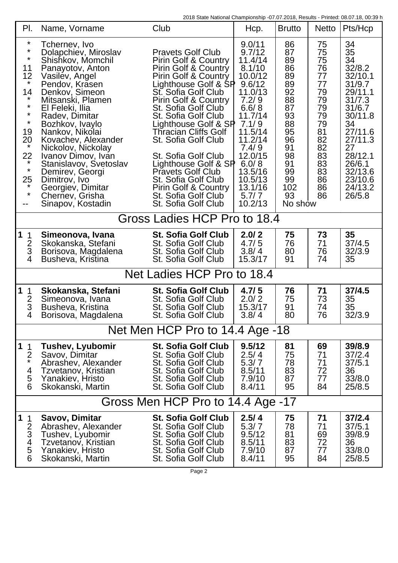2018 State National Championship -07.07.2018, Results - Printed: 08.07.18, 00:39 h

| PI.                                                                                                                                                                       | Name, Vorname                                                                                                                                                                                                                                                                                                                                                                                                                      | Club                                                                                                                                                                                                                                                                                                                                                                                                                                                                                   | Hcp.                                                                                                                                                                                                                | <b>Brutto</b>                                                                                                                    | <b>Netto</b>                                                                                                         | Pts/Hcp                                                                                                                                                                                   |  |  |  |  |
|---------------------------------------------------------------------------------------------------------------------------------------------------------------------------|------------------------------------------------------------------------------------------------------------------------------------------------------------------------------------------------------------------------------------------------------------------------------------------------------------------------------------------------------------------------------------------------------------------------------------|----------------------------------------------------------------------------------------------------------------------------------------------------------------------------------------------------------------------------------------------------------------------------------------------------------------------------------------------------------------------------------------------------------------------------------------------------------------------------------------|---------------------------------------------------------------------------------------------------------------------------------------------------------------------------------------------------------------------|----------------------------------------------------------------------------------------------------------------------------------|----------------------------------------------------------------------------------------------------------------------|-------------------------------------------------------------------------------------------------------------------------------------------------------------------------------------------|--|--|--|--|
| $\ast$<br>$\star$<br>$\star$<br>11<br>12<br>$\star$<br>14<br>$\star$<br>$\star$<br>$\star$<br>$\star$<br>19<br>20<br>$\star$<br>22<br>$\star$<br>$\star$<br>25<br>$\star$ | Tchernev, Ivo<br>Dolapchiev, Miroslav<br>Shishkov, Momchil<br>Panayotov, Anton<br>Vasilev, Angel<br>Pendov, Krasen<br>Denkov, Simeon<br>Mitsanski, Plamen<br>El Feleki, Ilia<br>Radev, Dimitar<br>Bozhkov, Ivaylo<br>Nankov, Nikolai<br>Kovachev, Alexander<br>Nickolov, Nickolay<br>Ivanov Dimov, Ivan<br>Stanislavov, Svetoslav<br>Demirev, Georgi<br>Dimitrov, Ivo<br>Georgiev, Dimitar<br>Cherney, Grisha<br>Sinapov, Kostadin | <b>Pravets Golf Club</b><br>Pirin Golf & Country<br>Pirin Golf & Country<br><b>Pirin Golf &amp; Country</b><br>Lighthouse Golf & SP<br>St. Sofia Golf Club<br>Pirin Golf & Country<br>St. Sofia Golf Club<br>St. Sofia Golf Club<br>Lighthouse Golf & SP<br><b>Thracian Cliffs Golf</b><br>St. Sofia Golf Club<br>St. Sofia Golf Club<br>Lighthouse Golf & SP<br><b>Pravets Golf Club</b><br>St. Sofia Golf Club<br>Pirin Golf & Country<br>St. Sofia Golf Club<br>St. Sofia Golf Club | 9.0/11<br>9.7/12<br>11.4/14<br>8.1/10<br>10.0/12<br>9.6/12<br>11.0/13<br>7.2/9<br>6.6/8<br>11.7/14<br>7.1/9<br>11.5/14<br>11.2/14<br>7.4/9<br>12.0/15<br>6.0/8<br>13.5/16<br>10.5/13<br>13.1/16<br>5.7/7<br>10.2/13 | 86<br>87<br>89<br>86<br>89<br>89<br>92<br>88<br>87<br>93<br>88<br>95<br>96<br>91<br>98<br>91<br>99<br>99<br>102<br>93<br>No show | 75<br>75<br>75<br>76<br>77<br>77<br>79<br>79<br>79<br>79<br>79<br>81<br>82<br>82<br>83<br>83<br>83<br>86<br>86<br>86 | 34<br>35<br>34<br>32/8.2<br>32/10.1<br>31/9.7<br>29/11.1<br>31/7.3<br>31/6.7<br>30/11.8<br>34<br>27/11.6<br>27/11.3<br>27<br>28/12.1<br>26/6.1<br>32/13.6<br>23/10.6<br>24/13.2<br>26/5.8 |  |  |  |  |
|                                                                                                                                                                           | Gross Ladies HCP Pro to 18.4                                                                                                                                                                                                                                                                                                                                                                                                       |                                                                                                                                                                                                                                                                                                                                                                                                                                                                                        |                                                                                                                                                                                                                     |                                                                                                                                  |                                                                                                                      |                                                                                                                                                                                           |  |  |  |  |
| 1<br>$\mathbf 1$<br>$rac{2}{3}$<br>4                                                                                                                                      | Simeonova, Ivana<br>Skokanska, Stefani<br>Borisova, Magdalena<br>Busheva, Kristina                                                                                                                                                                                                                                                                                                                                                 | <b>St. Sofia Golf Club</b><br>St. Sofia Golf Club<br>St. Sofia Golf Club<br>St. Sofia Golf Club                                                                                                                                                                                                                                                                                                                                                                                        | 2.0/2<br>4.7/5<br>3.8/4<br>15.3/17                                                                                                                                                                                  | 75<br>76<br>80<br>91                                                                                                             | 73<br>71<br>76<br>74                                                                                                 | 35<br>37/4.5<br>32/3.9<br>35                                                                                                                                                              |  |  |  |  |
|                                                                                                                                                                           | Net Ladies HCP Pro to 18.4                                                                                                                                                                                                                                                                                                                                                                                                         |                                                                                                                                                                                                                                                                                                                                                                                                                                                                                        |                                                                                                                                                                                                                     |                                                                                                                                  |                                                                                                                      |                                                                                                                                                                                           |  |  |  |  |
| 1<br>$\mathbf 1$<br>$\overline{2}$<br>3<br>4                                                                                                                              | Skokanska, Stefani<br>Simeonova, Ivana<br>Busheva, Kristina<br>Borisova, Magdalena                                                                                                                                                                                                                                                                                                                                                 | <b>St. Sofia Golf Club</b><br>St. Sofia Golf Club<br>St. Sofia Golf Club<br>St. Sofia Golf Club                                                                                                                                                                                                                                                                                                                                                                                        | 4.7/5<br>2.0/2<br>15.3/17<br>3.8/4                                                                                                                                                                                  | 76<br>75<br>91<br>80                                                                                                             | 71<br>73<br>74<br>76                                                                                                 | 37/4.5<br>35<br>35<br>32/3.9                                                                                                                                                              |  |  |  |  |
|                                                                                                                                                                           | Net Men HCP Pro to 14.4 Age -18                                                                                                                                                                                                                                                                                                                                                                                                    |                                                                                                                                                                                                                                                                                                                                                                                                                                                                                        |                                                                                                                                                                                                                     |                                                                                                                                  |                                                                                                                      |                                                                                                                                                                                           |  |  |  |  |
| 1<br>$\mathbf 1$<br>$\overline{2}$<br>$\star$<br>4<br>5<br>6                                                                                                              | <b>Tushev, Lyubomir</b><br>Savov, Dimitar<br>Abrashev, Alexander<br>Tzvetanov, Kristian<br>Yanakiev, Hristo<br>Skokanski, Martin                                                                                                                                                                                                                                                                                                   | <b>St. Sofia Golf Club</b><br>St. Sofia Golf Club<br>St. Sofia Golf Club<br>St. Sofia Golf Club<br>St. Sofia Golf Club<br>St. Sofia Golf Club                                                                                                                                                                                                                                                                                                                                          | 9.5/12<br>2.5/4<br>5.3/7<br>8.5/11<br>7.9/10<br>8.4/11                                                                                                                                                              | 81<br>75<br>78<br>83<br>87<br>95                                                                                                 | 69<br>71<br>71<br>72<br>77<br>84                                                                                     | 39/8.9<br>37/2.4<br>37/5.1<br>36<br>33/8.0<br>25/8.5                                                                                                                                      |  |  |  |  |
|                                                                                                                                                                           | Gross Men HCP Pro to 14.4 Age -17                                                                                                                                                                                                                                                                                                                                                                                                  |                                                                                                                                                                                                                                                                                                                                                                                                                                                                                        |                                                                                                                                                                                                                     |                                                                                                                                  |                                                                                                                      |                                                                                                                                                                                           |  |  |  |  |
| $\mathbf 1$<br>$\mathbf 1$<br>$\overline{2}$<br>3<br>4<br>5<br>6                                                                                                          | Savov, Dimitar<br>Abrashev, Alexander<br>Tushev, Lyubomir<br>Tzvetanov, Kristian<br>Yanakiev, Hristo<br>Skokanski, Martin                                                                                                                                                                                                                                                                                                          | <b>St. Sofia Golf Club</b><br>St. Sofia Golf Club<br>St. Sofia Golf Club<br>St. Sofia Golf Club<br>St. Sofia Golf Club<br>St. Sofia Golf Club                                                                                                                                                                                                                                                                                                                                          | 2.5/4<br>5.3/7<br>9.5/12<br>8.5/11<br>7.9/10<br>8.4/11                                                                                                                                                              | 75<br>78<br>81<br>83<br>87<br>95                                                                                                 | 71<br>71<br>69<br>72<br>77<br>84                                                                                     | 37/2.4<br>37/5.1<br>39/8.9<br>36<br>33/8.0<br>25/8.5                                                                                                                                      |  |  |  |  |

Page 2